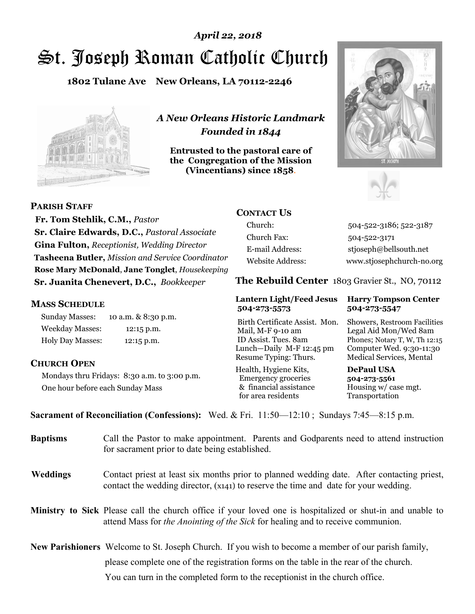# St. Joseph Roman Catholic Church *April 22, 2018*

**1802 Tulane Ave New Orleans, LA 70112-2246**



*A New Orleans Historic Landmark Founded in 1844* 

**Entrusted to the pastoral care of the Congregation of the Mission (Vincentians) since 1858**.





**PARISH STAFF**

 **Fr. Tom Stehlik, C.M.,** *Pastor* **Sr. Claire Edwards, D.C.,** *Pastoral Associate* **Gina Fulton,** *Receptionist, Wedding Director* **Tasheena Butler,** *Mission and Service Coordinator* **Rose Mary McDonald**, **Jane Tonglet**, *Housekeeping* **Sr. Juanita Chenevert, D.C.,** *Bookkeeper* 

#### **MASS SCHEDULE**

Sunday Masses: 10 a.m. & 8:30 p.m. Weekday Masses: 12:15 p.m. Holy Day Masses: 12:15 p.m.

#### **CHURCH OPEN**

Mondays thru Fridays: 8:30 a.m. to 3:00 p.m. One hour before each Sunday Mass

# **CONTACT US**

Church: 504-522-3186; 522-3187 Church Fax: 504-522-3171 E-mail Address: stjoseph@bellsouth.net Website Address: www.stjosephchurch-no.org

**The Rebuild Center** 1803 Gravier St., NO, 70112

#### **Lantern Light/Feed Jesus Harry Tompson Center 504-273-5573 504-273-5547**

Birth Certificate Assist. Mon. Showers, Restroom Facilities Mail, M-F 9-10 am Legal Aid Mon/Wed 8am ID Assist. Tues. 8am Phones; Notary T, W, Th 12:15 Lunch—Daily M-F 12:45 pm Computer Wed. 9:30-11:30 Resume Typing: Thurs. Medical Services, Mental

Health, Hygiene Kits, **DePaul USA**  Emergency groceries **504-273-5561** & financial assistance Housing w/ case mgt.<br>for area residents Transportation for area residents

**Sacrament of Reconciliation (Confessions):** Wed. & Fri. 11:50—12:10 ; Sundays 7:45—8:15 p.m.

| <b>Baptisms</b> | Call the Pastor to make appointment. Parents and Godparents need to attend instruction<br>for sacrament prior to date being established.                                                            |  |
|-----------------|-----------------------------------------------------------------------------------------------------------------------------------------------------------------------------------------------------|--|
| <b>Weddings</b> | Contact priest at least six months prior to planned wedding date. After contacting priest,<br>contact the wedding director, (x141) to reserve the time and date for your wedding.                   |  |
|                 | Ministry to Sick Please call the church office if your loved one is hospitalized or shut-in and unable to<br>attend Mass for <i>the Anointing of the Sick</i> for healing and to receive communion. |  |
|                 | <b>New Parishioners</b> Welcome to St. Joseph Church. If you wish to become a member of our parish family,                                                                                          |  |
|                 | please complete one of the registration forms on the table in the rear of the church.                                                                                                               |  |
|                 | You can turn in the completed form to the receptionist in the church office.                                                                                                                        |  |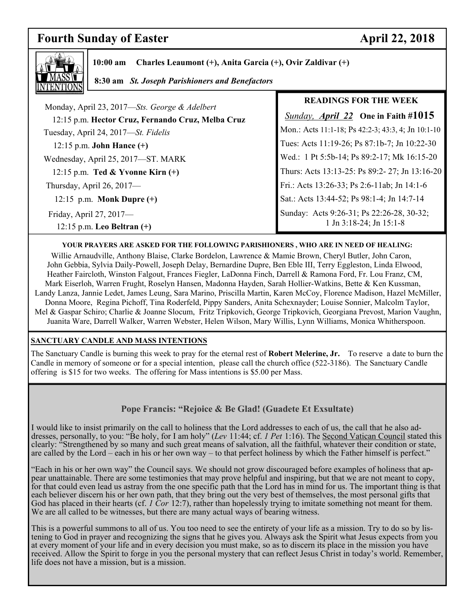# **Fourth Sunday of Easter April 22, 2018**

٦



**10:00 am Charles Leaumont (+), Anita Garcia (+), Ovir Zaldivar (+)** 

 **8:30 am** *St. Joseph Parishioners and Benefactors*

|                                                                                                    | <b>READINGS FOR THE WEEK</b>                                         |
|----------------------------------------------------------------------------------------------------|----------------------------------------------------------------------|
| Monday, April 23, 2017—Sts. George & Adelbert<br>12:15 p.m. Hector Cruz, Fernando Cruz, Melba Cruz | <b>Sunday, April 22</b> One in Faith #1015                           |
| Tuesday, April 24, 2017—St. Fidelis                                                                | Mon.: Acts 11:1-18; Ps 42:2-3; 43:3, 4; Jn 10:1-10                   |
| 12:15 p.m. <b>John Hance</b> $(+)$                                                                 | Tues: Acts 11:19-26; Ps 87:1b-7; Jn 10:22-30                         |
| Wednesday, April 25, 2017-ST. MARK                                                                 | Wed.: 1 Pt 5:5b-14; Ps 89:2-17; Mk 16:15-20                          |
| 12:15 p.m. Ted & Yvonne Kirn $(+)$                                                                 | Thurs: Acts 13:13-25: Ps 89:2- 27; Jn 13:16-20                       |
| Thursday, April 26, 2017-                                                                          | Fri.: Acts 13:26-33; Ps 2:6-11ab; Jn 14:1-6                          |
| 12:15 p.m. Monk Dupre $(+)$                                                                        | Sat.: Acts 13:44-52; Ps 98:1-4; Jn 14:7-14                           |
| Friday, April 27, 2017-<br>$12:15$ p.m. Leo Beltran $(+)$                                          | Sunday: Acts 9:26-31; Ps 22:26-28, 30-32;<br>1 Jn 3:18-24; Jn 15:1-8 |

#### **YOUR PRAYERS ARE ASKED FOR THE FOLLOWING PARISHIONERS , WHO ARE IN NEED OF HEALING:**

Willie Arnaudville, Anthony Blaise, Clarke Bordelon, Lawrence & Mamie Brown, Cheryl Butler, John Caron, John Gebbia, Sylvia Daily-Powell, Joseph Delay, Bernardine Dupre, Ben Eble III, Terry Eggleston, Linda Elwood, Heather Faircloth, Winston Falgout, Frances Fiegler, LaDonna Finch, Darrell & Ramona Ford, Fr. Lou Franz, CM, Mark Eiserloh, Warren Frught, Roselyn Hansen, Madonna Hayden, Sarah Hollier-Watkins, Bette & Ken Kussman, Landy Lanza, Jannie Ledet, James Leung, Sara Marino, Priscilla Martin, Karen McCoy, Florence Madison, Hazel McMiller, Donna Moore, Regina Pichoff, Tina Roderfeld, Pippy Sanders, Anita Schexnayder; Louise Sonnier, Malcolm Taylor, Mel & Gaspar Schiro; Charlie & Joanne Slocum, Fritz Tripkovich, George Tripkovich, Georgiana Prevost, Marion Vaughn, Juanita Ware, Darrell Walker, Warren Webster, Helen Wilson, Mary Willis, Lynn Williams, Monica Whitherspoon.

#### **SANCTUARY CANDLE AND MASS INTENTIONS**

The Sanctuary Candle is burning this week to pray for the eternal rest of **Robert Melerine, Jr.** To reserve a date to burn the Candle in memory of someone or for a special intention, please call the church office (522-3186). The Sanctuary Candle offering is \$15 for two weeks. The offering for Mass intentions is \$5.00 per Mass.

# **Pope Francis: "Rejoice & Be Glad! (Guadete Et Exsultate)**

I would like to insist primarily on the call to holiness that the Lord addresses to each of us, the call that he also addresses, personally, to you: "Be holy, for I am holy" (*Lev* 11:44; cf. *1 Pet* 1:16). The Second Vatican Council stated this clearly: "Strengthened by so many and such great means of salvation, all the faithful, whatever their condition or state, are called by the Lord – each in his or her own way – to that perfect holiness by which the Father himself is perfect."

"Each in his or her own way" the Council says. We should not grow discouraged before examples of holiness that appear unattainable. There are some testimonies that may prove helpful and inspiring, but that we are not meant to copy, for that could even lead us astray from the one specific path that the Lord has in mind for us. The important thing is that each believer discern his or her own path, that they bring out the very best of themselves, the most personal gifts that God has placed in their hearts (cf. *1 Cor* 12:7), rather than hopelessly trying to imitate something not meant for them. We are all called to be witnesses, but there are many actual ways of bearing witness.

This is a powerful summons to all of us. You too need to see the entirety of your life as a mission. Try to do so by listening to God in prayer and recognizing the signs that he gives you. Always ask the Spirit what Jesus expects from you at every moment of your life and in every decision you must make, so as to discern its place in the mission you have received. Allow the Spirit to forge in you the personal mystery that can reflect Jesus Christ in today's world. Remember, life does not have a mission, but is a mission.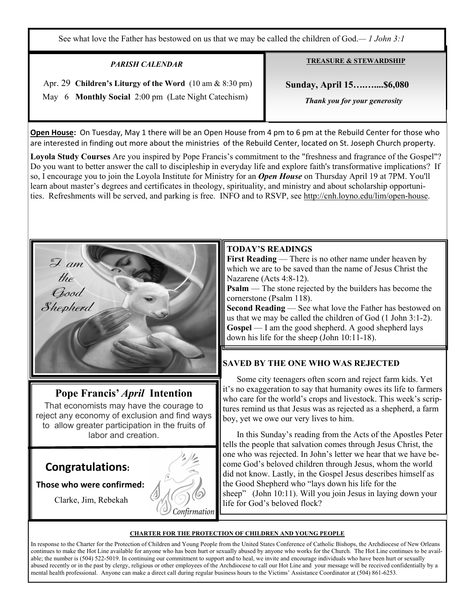See what love the Father has bestowed on us that we may be called the children of God.*— 1 John 3:1*

#### *PARISH CALENDAR*

 Apr. 29 **Children's Liturgy of the Word** (10 am & 8:30 pm) May 6 **Monthly Social** 2:00 pm (Late Night Catechism)

**TREASURE & STEWARDSHIP**

 **Sunday, April 15….…....\$6,080** 

 *Thank you for your generosity* 

**Open House:** On Tuesday, May 1 there will be an Open House from 4 pm to 6 pm at the Rebuild Center for those who are interested in finding out more about the ministries of the Rebuild Center, located on St. Joseph Church property.

**Loyola Study Courses** Are you inspired by Pope Francis's commitment to the "freshness and fragrance of the Gospel"? Do you want to better answer the call to discipleship in everyday life and explore faith's transformative implications? If so, I encourage you to join the Loyola Institute for Ministry for an *Open House* on Thursday April 19 at 7PM. You'll learn about master's degrees and certificates in theology, spirituality, and ministry and about scholarship opportunities. Refreshments will be served, and parking is free. INFO and to RSVP, see http://cnh.loyno.edu/lim/open-house.



# **Pope Francis'** *April* **Intention**

That economists may have the courage to reject any economy of exclusion and find ways to allow greater participation in the fruits of labor and creation.

# **Congratulations:**

# **Those who were confirmed:**

Clarke, Jim, Rebekah



### **TODAY'S READINGS**

**First Reading** — There is no other name under heaven by which we are to be saved than the name of Jesus Christ the Nazarene (Acts 4:8-12).

**Psalm** — The stone rejected by the builders has become the cornerstone (Psalm 118).

**Second Reading** — See what love the Father has bestowed on us that we may be called the children of God (1 John 3:1-2). Gospel — I am the good shepherd. A good shepherd lays down his life for the sheep (John 10:11-18).

# **SAVED BY THE ONE WHO WAS REJECTED**

 Some city teenagers often scorn and reject farm kids. Yet it's no exaggeration to say that humanity owes its life to farmers who care for the world's crops and livestock. This week's scriptures remind us that Jesus was as rejected as a shepherd, a farm boy, yet we owe our very lives to him.

 In this Sunday's reading from the Acts of the Apostles Peter tells the people that salvation comes through Jesus Christ, the one who was rejected. In John's letter we hear that we have become God's beloved children through Jesus, whom the world did not know. Lastly, in the Gospel Jesus describes himself as the Good Shepherd who "lays down his life for the sheep" (John 10:11). Will you join Jesus in laying down your life for God's beloved flock?

#### **CHARTER FOR THE PROTECTION OF CHILDREN AND YOUNG PEOPLE**

In response to the Charter for the Protection of Children and Young People from the United States Conference of Catholic Bishops, the Archdiocese of New Orleans continues to make the Hot Line available for anyone who has been hurt or sexually abused by anyone who works for the Church. The Hot Line continues to be available; the number is (504) 522-5019. In continuing our commitment to support and to heal, we invite and encourage individuals who have been hurt or sexually abused recently or in the past by clergy, religious or other employees of the Archdiocese to call our Hot Line and your message will be received confidentially by a mental health professional. Anyone can make a direct call during regular business hours to the Victims' Assistance Coordinator at (504) 861-6253.